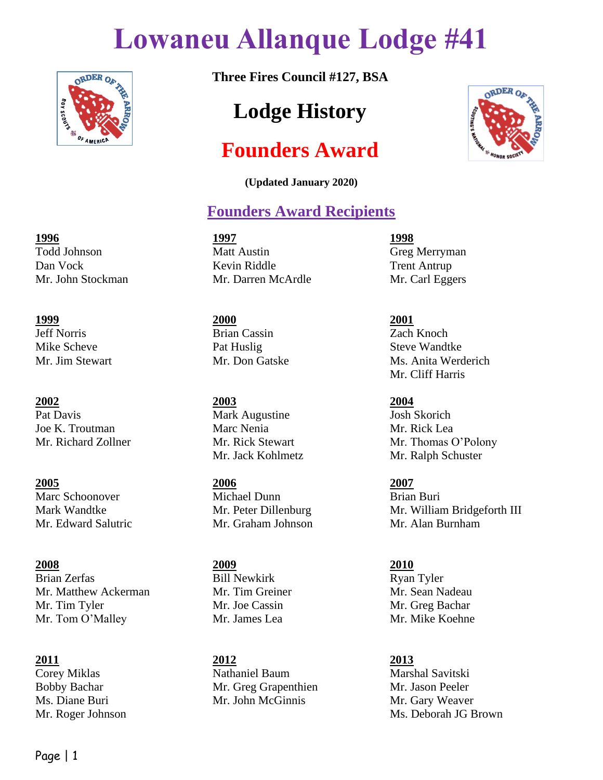## **Lowaneu Allanque Lodge #41**



**Three Fires Council #127, BSA**

## **Lodge History**

## **Founders Award**

**(Updated January 2020)**

## **Founders Award Recipients**

Todd Johnson Matt Austin Greg Merryman Dan Vock Kevin Riddle Trent Antrup Mr. John Stockman Mr. Darren McArdle Mr. Carl Eggers

**1999 2000 2001** Jeff Norris Brian Cassin Zach Knoch

**2005 2006 2007** Marc Schoonover Michael Dunn Brian Buri Mr. Edward Salutric Mr. Graham Johnson Mr. Alan Burnham

**2011 2012 2013** Corey Miklas Nathaniel Baum Marshal Savitski Bobby Bachar Mr. Greg Grapenthien Mr. Jason Peeler Ms. Diane Buri Mr. John McGinnis Mr. Gary Weaver

ORDER OF

Mr. Jim Stewart Mr. Don Gatske Ms. Anita Werderich Mr. Cliff Harris

Mr. Richard Zollner Mr. Rick Stewart Mr. Thomas O'Polony Mr. Jack Kohlmetz Mr. Ralph Schuster

Mark Wandtke Mr. Peter Dillenburg Mr. William Bridgeforth III

Mr. Roger Johnson Ms. Deborah JG Brown

# **1996 1997 1998**

Mike Scheve Pat Huslig Steve Wandtke

**2002 2003 2004** Pat Davis Mark Augustine Josh Skorich Joe K. Troutman Marc Nenia Mr. Rick Lea

**2008 2009 2010** Brian Zerfas Bill Newkirk Ryan Tyler Mr. Matthew Ackerman Mr. Tim Greiner Mr. Sean Nadeau Mr. Tim Tyler Mr. Joe Cassin Mr. Greg Bachar Mr. Tom O'Malley Mr. James Lea Mr. Mike Koehne